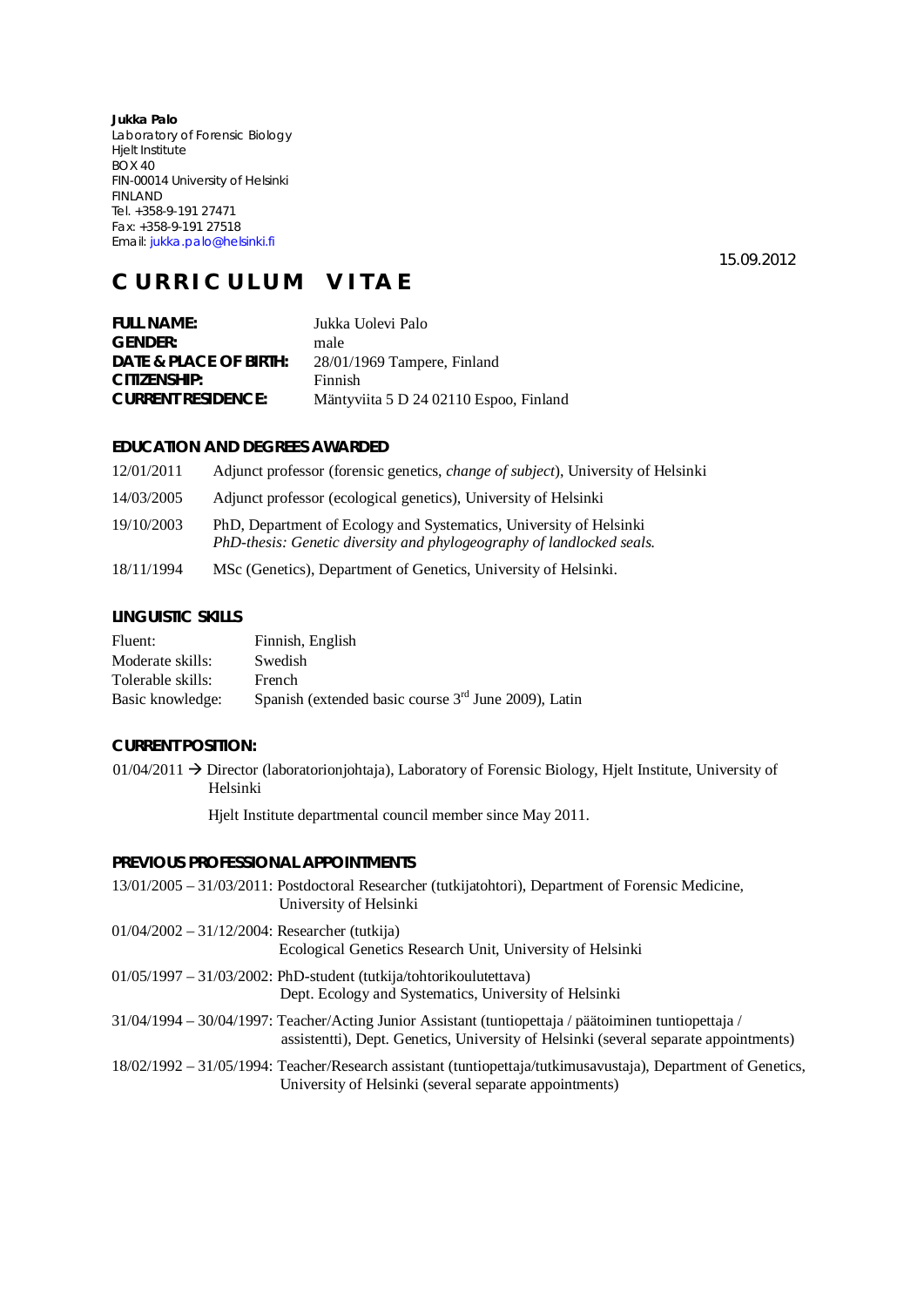**Jukka Palo**  Laboratory of Forensic Biology Hjelt Institute BOX 40 FIN-00014 University of Helsinki FINLAND Tel. +358-9-191 27471 Fax: +358-9-191 27518 Email: jukka.palo@helsinki.fi

15.09.2012

# **C U R R I C U L U M V I T A E**

| Jukka Uolevi Palo                      |
|----------------------------------------|
| male                                   |
| 28/01/1969 Tampere, Finland            |
| Finnish                                |
| Mäntyviita 5 D 24 02110 Espoo, Finland |
|                                        |

## **EDUCATION AND DEGREES AWARDED**

| 12/01/2011 | Adjunct professor (forensic genetics, <i>change of subject</i> ), University of Helsinki                                                    |
|------------|---------------------------------------------------------------------------------------------------------------------------------------------|
| 14/03/2005 | Adjunct professor (ecological genetics), University of Helsinki                                                                             |
| 19/10/2003 | PhD, Department of Ecology and Systematics, University of Helsinki<br>PhD-thesis: Genetic diversity and phylogeography of landlocked seals. |
| 18/11/1994 | MSc (Genetics), Department of Genetics, University of Helsinki.                                                                             |

#### **LINGUISTIC SKILLS**

| Fluent:           | Finnish, English                                       |
|-------------------|--------------------------------------------------------|
| Moderate skills:  | Swedish                                                |
| Tolerable skills: | French                                                 |
| Basic knowledge:  | Spanish (extended basic course $3rd$ June 2009), Latin |

## **CURRENT POSITION:**

 $01/04/2011 \rightarrow$  Director (laboratorionjohtaja), Laboratory of Forensic Biology, Hjelt Institute, University of Helsinki

Hjelt Institute departmental council member since May 2011.

# **PREVIOUS PROFESSIONAL APPOINTMENTS**

|                                                  | 13/01/2005 – 31/03/2011: Postdoctoral Researcher (tutkijatohtori), Department of Forensic Medicine,<br>University of Helsinki                                                                |
|--------------------------------------------------|----------------------------------------------------------------------------------------------------------------------------------------------------------------------------------------------|
| $01/04/2002 - 31/12/2004$ : Researcher (tutkija) | Ecological Genetics Research Unit, University of Helsinki                                                                                                                                    |
|                                                  | $01/05/1997 - 31/03/2002$ : PhD-student (tutkija/tohtorikoulutettava)<br>Dept. Ecology and Systematics, University of Helsinki                                                               |
|                                                  | 31/04/1994 – 30/04/1997: Teacher/Acting Junior Assistant (tuntiopettaja / päätoiminen tuntiopettaja /<br>assistenti), Dept. Genetics, University of Helsinki (several separate appointments) |
|                                                  |                                                                                                                                                                                              |

## 18/02/1992 – 31/05/1994: Teacher/Research assistant (tuntiopettaja/tutkimusavustaja), Department of Genetics, University of Helsinki (several separate appointments)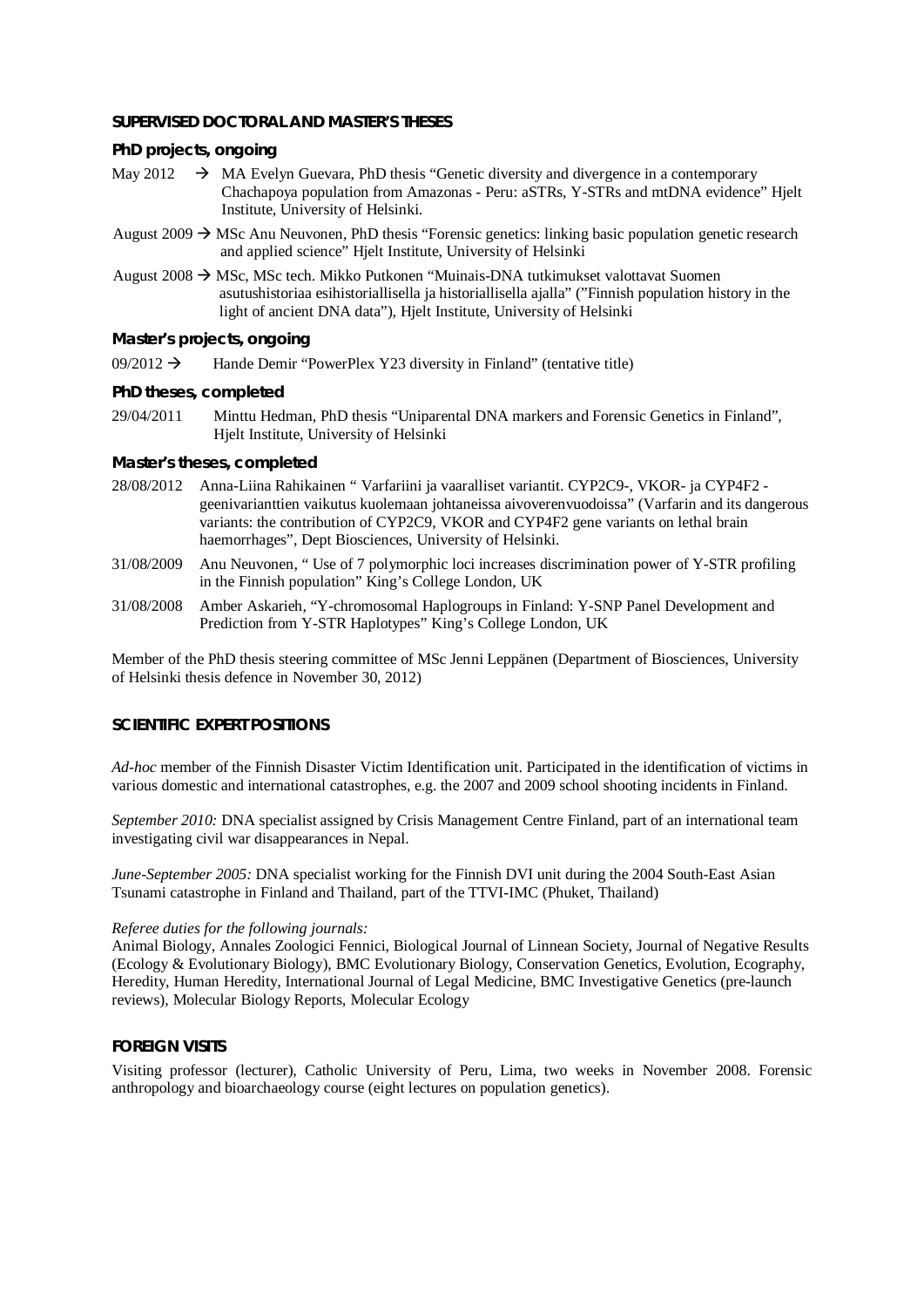#### **SUPERVISED DOCTORAL AND MASTER'S THESES**

*PhD projects, ongoing* 

- May 2012  $\rightarrow$  MA Evelyn Guevara, PhD thesis "Genetic diversity and divergence in a contemporary Chachapoya population from Amazonas - Peru: aSTRs, Y-STRs and mtDNA evidence" Hjelt Institute, University of Helsinki.
- August 2009  $\rightarrow$  MSc Anu Neuvonen, PhD thesis "Forensic genetics: linking basic population genetic research and applied science" Hjelt Institute, University of Helsinki
- August 2008  $\rightarrow$  MSc, MSc tech. Mikko Putkonen "Muinais-DNA tutkimukset valottavat Suomen asutushistoriaa esihistoriallisella ja historiallisella ajalla" ("Finnish population history in the light of ancient DNA data"), Hjelt Institute, University of Helsinki

#### *Master's projects, ongoing*

- 09/2012  $\rightarrow$  Hande Demir "PowerPlex Y23 diversity in Finland" (tentative title)
- *PhD theses, completed*
- 29/04/2011 Minttu Hedman, PhD thesis "Uniparental DNA markers and Forensic Genetics in Finland", Hjelt Institute, University of Helsinki
- *Master's theses, completed*
- 28/08/2012 Anna-Liina Rahikainen " Varfariini ja vaaralliset variantit. CYP2C9-, VKOR- ja CYP4F2 geenivarianttien vaikutus kuolemaan johtaneissa aivoverenvuodoissa" (Varfarin and its dangerous variants: the contribution of CYP2C9, VKOR and CYP4F2 gene variants on lethal brain haemorrhages", Dept Biosciences, University of Helsinki.
- 31/08/2009 Anu Neuvonen, " Use of 7 polymorphic loci increases discrimination power of Y-STR profiling in the Finnish population" King's College London, UK
- 31/08/2008 Amber Askarieh, "Y-chromosomal Haplogroups in Finland: Y-SNP Panel Development and Prediction from Y-STR Haplotypes" King's College London, UK

Member of the PhD thesis steering committee of MSc Jenni Leppänen (Department of Biosciences, University of Helsinki thesis defence in November 30, 2012)

# **SCIENTIFIC EXPERT POSITIONS**

*Ad-hoc* member of the Finnish Disaster Victim Identification unit. Participated in the identification of victims in various domestic and international catastrophes, e.g. the 2007 and 2009 school shooting incidents in Finland.

*September 2010:* DNA specialist assigned by Crisis Management Centre Finland, part of an international team investigating civil war disappearances in Nepal.

*June-September 2005:* DNA specialist working for the Finnish DVI unit during the 2004 South-East Asian Tsunami catastrophe in Finland and Thailand, part of the TTVI-IMC (Phuket, Thailand)

#### *Referee duties for the following journals:*

Animal Biology, Annales Zoologici Fennici, Biological Journal of Linnean Society, Journal of Negative Results (Ecology & Evolutionary Biology), BMC Evolutionary Biology, Conservation Genetics, Evolution, Ecography, Heredity, Human Heredity, International Journal of Legal Medicine, BMC Investigative Genetics (pre-launch reviews), Molecular Biology Reports, Molecular Ecology

### **FOREIGN VISITS**

Visiting professor (lecturer), Catholic University of Peru, Lima, two weeks in November 2008. Forensic anthropology and bioarchaeology course (eight lectures on population genetics).